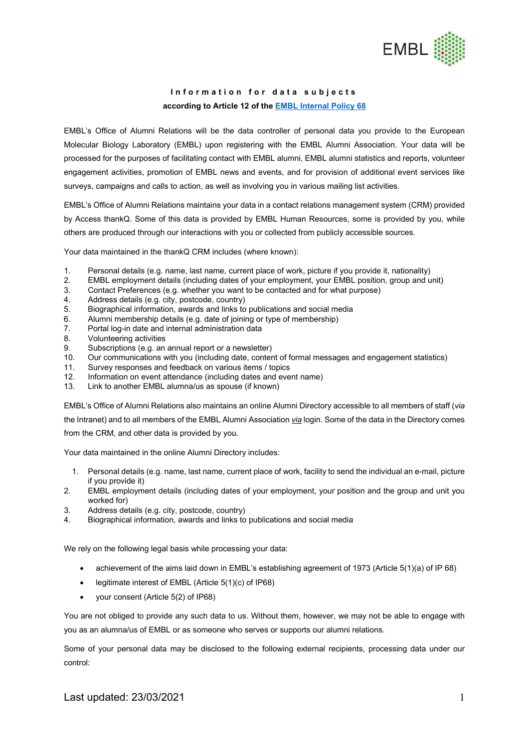

## **Information for data subjects according to Article 12 of the [EMBL Internal Policy 68](https://www.embl.de/aboutus/administration/legal-services/data-protection/IP68-Data-Protection-EN-18052018.pdf)**

EMBL's Office of Alumni Relations will be the data controller of personal data you provide to the European Molecular Biology Laboratory (EMBL) upon registering with the EMBL Alumni Association. Your data will be processed for the purposes of facilitating contact with EMBL alumni, EMBL alumni statistics and reports, volunteer engagement activities, promotion of EMBL news and events, and for provision of additional event services like surveys, campaigns and calls to action, as well as involving you in various mailing list activities.

EMBL's Office of Alumni Relations maintains your data in a contact relations management system (CRM) provided by Access thankQ. Some of this data is provided by EMBL Human Resources, some is provided by you, while others are produced through our interactions with you or collected from publicly accessible sources.

Your data maintained in the thankQ CRM includes (where known):

- 1. Personal details (e.g. name, last name, current place of work, picture if you provide it, nationality)
- 2. EMBL employment details (including dates of your employment, your EMBL position, group and unit)
- 3. Contact Preferences (e.g. whether you want to be contacted and for what purpose)
- Address details (e.g. city, postcode, country)
- 5. Biographical information, awards and links to publications and social media
- 6. Alumni membership details (e.g. date of joining or type of membership)
- 7. Portal log-in date and internal administration data
- 8. Volunteering activities
- 9. Subscriptions (e.g. an annual report or a newsletter)
- 10. Our communications with you (including date, content of formal messages and engagement statistics)
- 11. Survey responses and feedback on various items / topics
- 12. Information on event attendance (including dates and event name)
- 13. Link to another EMBL alumna/us as spouse (if known)

EMBL's Office of Alumni Relations also maintains an online Alumni Directory accessible to all members of staff (*via* the Intranet) and to all members of the EMBL Alumni Association *via* login. Some of the data in the Directory comes from the CRM, and other data is provided by you.

Your data maintained in the online Alumni Directory includes:

- 1. Personal details (e.g. name, last name, current place of work, facility to send the individual an e-mail, picture if you provide it)
- 2. EMBL employment details (including dates of your employment, your position and the group and unit you worked for)
- 3. Address details (e.g. city, postcode, country)
- 4. Biographical information, awards and links to publications and social media

We rely on the following legal basis while processing your data:

- achievement of the aims laid down in EMBL's establishing agreement of 1973 (Article 5(1)(a) of IP 68)
- legitimate interest of EMBL (Article 5(1)(c) of IP68)
- your consent (Article 5(2) of IP68)

You are not obliged to provide any such data to us. Without them, however, we may not be able to engage with you as an alumna/us of EMBL or as someone who serves or supports our alumni relations.

Some of your personal data may be disclosed to the following external recipients, processing data under our control: